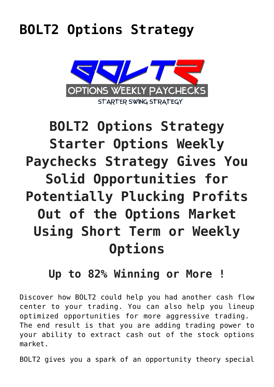## **[BOLT2 Options Strategy](https://optionsweeklypaychecks.com/bolt2-options-strategy/)**



# **BOLT2 Options Strategy Starter Options Weekly Paychecks Strategy Gives You Solid Opportunities for Potentially Plucking Profits Out of the Options Market Using Short Term or Weekly Options**

## **Up to 82% Winning or More !**

Discover how BOLT2 could help you had another cash flow center to your trading. You can also help you lineup optimized opportunities for more aggressive trading. The end result is that you are adding trading power to your ability to extract cash out of the stock options market.

BOLT2 gives you a spark of an opportunity theory special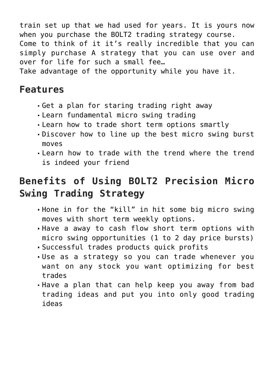train set up that we had used for years. It is yours now when you purchase the BOLT2 trading strategy course. Come to think of it it's really incredible that you can simply purchase A strategy that you can use over and over for life for such a small fee…

Take advantage of the opportunity while you have it.

#### **Features**

- Get a plan for staring trading right away
- Learn fundamental micro swing trading
- Learn how to trade short term options smartly
- Discover how to line up the best micro swing burst moves
- Learn how to trade with the trend where the trend is indeed your friend

### **Benefits of Using BOLT2 Precision Micro Swing Trading Strategy**

- Hone in for the "kill" in hit some big micro swing moves with short term weekly options.
- Have a away to cash flow short term options with micro swing opportunities (1 to 2 day price bursts)
- Successful trades products quick profits
- Use as a strategy so you can trade whenever you want on any stock you want optimizing for best trades
- Have a plan that can help keep you away from bad trading ideas and put you into only good trading ideas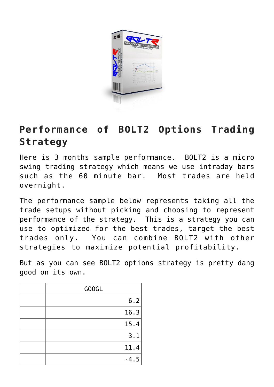

#### **Performance of BOLT2 Options Trading Strategy**

Here is 3 months sample performance. BOLT2 is a micro swing trading strategy which means we use intraday bars such as the 60 minute bar. Most trades are held overnight.

The performance sample below represents taking all the trade setups without picking and choosing to represent performance of the strategy. This is a strategy you can use to optimized for the best trades, target the best trades only. You can combine BOLT2 with other strategies to maximize potential profitability.

But as you can see BOLT2 options strategy is pretty dang good on its own.

| GOOGL  |
|--------|
| 6.2    |
| 16.3   |
| 15.4   |
| 3.1    |
| 11.4   |
| $-4.5$ |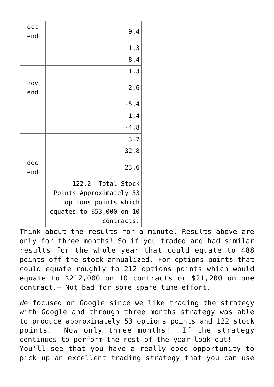| oct<br>end | 9.4                                                                                                             |
|------------|-----------------------------------------------------------------------------------------------------------------|
|            | 1.3                                                                                                             |
|            | 8.4                                                                                                             |
|            | 1.3                                                                                                             |
| nov<br>end | 2.6                                                                                                             |
|            | $-5.4$                                                                                                          |
|            | 1.4                                                                                                             |
|            | $-4.8$                                                                                                          |
|            | 3.7                                                                                                             |
|            | 32.8                                                                                                            |
| dec<br>end | 23.6                                                                                                            |
|            | 122.2 Total Stock<br>Points~Approximately 53<br>options points which<br>equates to \$53,000 on 10<br>contracts. |

Think about the results for a minute. Results above are only for three months! So if you traded and had similar results for the whole year that could equate to 488 points off the stock annualized. For options points that could equate roughly to 212 options points which would equate to \$212,000 on 10 contracts or \$21,200 on one contract.– Not bad for some spare time effort.

We focused on Google since we like trading the strategy with Google and through three months strategy was able to produce approximately 53 options points and 122 stock points. Now only three months! If the strategy continues to perform the rest of the year look out! You'll see that you have a really good opportunity to pick up an excellent trading strategy that you can use